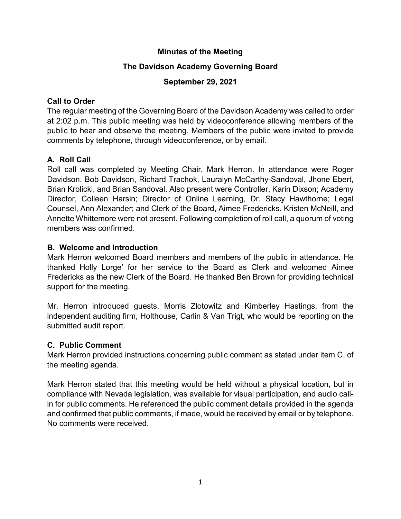### **Minutes of the Meeting**

## **The Davidson Academy Governing Board**

## **September 29, 2021**

## **Call to Order**

The regular meeting of the Governing Board of the Davidson Academy was called to order at 2:02 p.m. This public meeting was held by videoconference allowing members of the public to hear and observe the meeting. Members of the public were invited to provide comments by telephone, through videoconference, or by email.

# **A. Roll Call**

Roll call was completed by Meeting Chair, Mark Herron. In attendance were Roger Davidson, Bob Davidson, Richard Trachok, Lauralyn McCarthy-Sandoval, Jhone Ebert, Brian Krolicki, and Brian Sandoval. Also present were Controller, Karin Dixson; Academy Director, Colleen Harsin; Director of Online Learning, Dr. Stacy Hawthorne; Legal Counsel, Ann Alexander; and Clerk of the Board, Aimee Fredericks. Kristen McNeill, and Annette Whittemore were not present. Following completion of roll call, a quorum of voting members was confirmed.

## **B. Welcome and Introduction**

Mark Herron welcomed Board members and members of the public in attendance. He thanked Holly Lorge' for her service to the Board as Clerk and welcomed Aimee Fredericks as the new Clerk of the Board. He thanked Ben Brown for providing technical support for the meeting.

Mr. Herron introduced guests, Morris Zlotowitz and Kimberley Hastings, from the independent auditing firm, Holthouse, Carlin & Van Trigt, who would be reporting on the submitted audit report.

# **C. Public Comment**

Mark Herron provided instructions concerning public comment as stated under item C. of the meeting agenda.

Mark Herron stated that this meeting would be held without a physical location, but in compliance with Nevada legislation, was available for visual participation, and audio callin for public comments. He referenced the public comment details provided in the agenda and confirmed that public comments, if made, would be received by email or by telephone. No comments were received.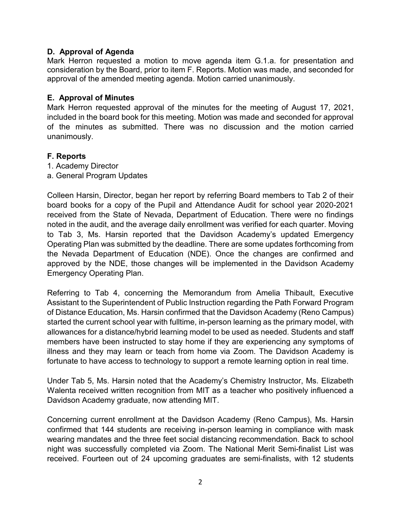#### **D. Approval of Agenda**

Mark Herron requested a motion to move agenda item G.1.a. for presentation and consideration by the Board, prior to item F. Reports. Motion was made, and seconded for approval of the amended meeting agenda. Motion carried unanimously.

#### **E. Approval of Minutes**

Mark Herron requested approval of the minutes for the meeting of August 17, 2021, included in the board book for this meeting. Motion was made and seconded for approval of the minutes as submitted. There was no discussion and the motion carried unanimously.

#### **F. Reports**

- 1. Academy Director
- a. General Program Updates

Colleen Harsin, Director, began her report by referring Board members to Tab 2 of their board books for a copy of the Pupil and Attendance Audit for school year 2020-2021 received from the State of Nevada, Department of Education. There were no findings noted in the audit, and the average daily enrollment was verified for each quarter. Moving to Tab 3, Ms. Harsin reported that the Davidson Academy's updated Emergency Operating Plan was submitted by the deadline. There are some updates forthcoming from the Nevada Department of Education (NDE). Once the changes are confirmed and approved by the NDE, those changes will be implemented in the Davidson Academy Emergency Operating Plan.

Referring to Tab 4, concerning the Memorandum from Amelia Thibault, Executive Assistant to the Superintendent of Public Instruction regarding the Path Forward Program of Distance Education, Ms. Harsin confirmed that the Davidson Academy (Reno Campus) started the current school year with fulltime, in-person learning as the primary model, with allowances for a distance/hybrid learning model to be used as needed. Students and staff members have been instructed to stay home if they are experiencing any symptoms of illness and they may learn or teach from home via Zoom. The Davidson Academy is fortunate to have access to technology to support a remote learning option in real time.

Under Tab 5, Ms. Harsin noted that the Academy's Chemistry Instructor, Ms. Elizabeth Walenta received written recognition from MIT as a teacher who positively influenced a Davidson Academy graduate, now attending MIT.

Concerning current enrollment at the Davidson Academy (Reno Campus), Ms. Harsin confirmed that 144 students are receiving in-person learning in compliance with mask wearing mandates and the three feet social distancing recommendation. Back to school night was successfully completed via Zoom. The National Merit Semi-finalist List was received. Fourteen out of 24 upcoming graduates are semi-finalists, with 12 students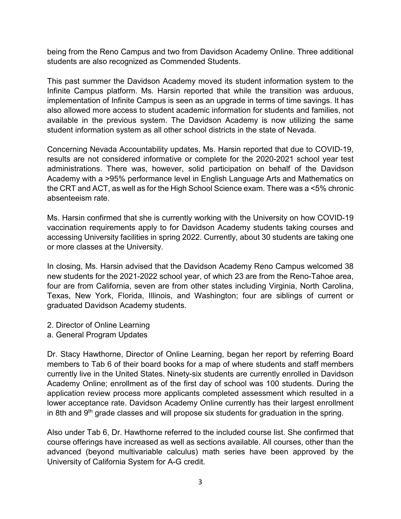being from the Reno Campus and two from Davidson Academy Online. Three additional students are also recognized as Commended Students.

This past summer the Davidson Academy moved its student information system to the Infinite Campus platform. Ms. Harsin reported that while the transition was arduous, implementation of Infinite Campus is seen as an upgrade in terms of time savings. It has also allowed more access to student academic information for students and families, not available in the previous system. The Davidson Academy is now utilizing the same student information system as all other school districts in the state of Nevada.

Concerning Nevada Accountability updates, Ms. Harsin reported that due to COVID-19, results are not considered informative or complete for the 2020-2021 school year test administrations. There was, however, solid participation on behalf of the Davidson Academy with a >95% performance level in English Language Arts and Mathematics on the CRT and ACT, as well as for the High School Science exam. There was a <5% chronic absenteeism rate.

Ms. Harsin confirmed that she is currently working with the University on how COVID-19 vaccination requirements apply to for Davidson Academy students taking courses and accessing University facilities in spring 2022. Currently, about 30 students are taking one or more classes at the University.

In closing, Ms. Harsin advised that the Davidson Academy Reno Campus welcomed 38 new students for the 2021-2022 school year, of which 23 are from the Reno-Tahoe area, four are from California, seven are from other states including Virginia, North Carolina, Texas, New York, Florida, Illinois, and Washington; four are siblings of current or graduated Davidson Academy students.

- 2. Director of Online Learning
- a. General Program Updates

Dr. Stacy Hawthorne, Director of Online Learning, began her report by referring Board members to Tab 6 of their board books for a map of where students and staff members currently live in the United States. Ninety-six students are currently enrolled in Davidson Academy Online; enrollment as of the first day of school was 100 students. During the application review process more applicants completed assessment which resulted in a lower acceptance rate. Davidson Academy Online currently has their largest enrollment in 8th and  $9<sup>th</sup>$  grade classes and will propose six students for graduation in the spring.

Also under Tab 6, Dr. Hawthorne referred to the included course list. She confirmed that course offerings have increased as well as sections available. All courses, other than the advanced (beyond multivariable calculus) math series have been approved by the University of California System for A-G credit.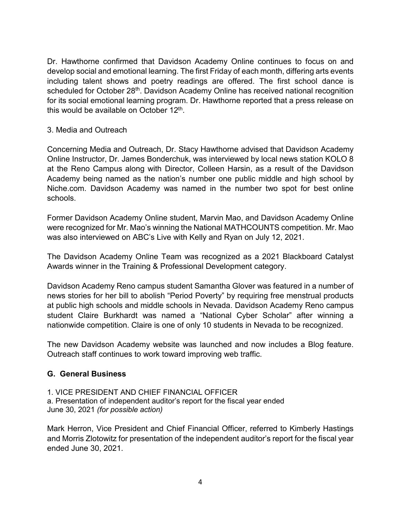Dr. Hawthorne confirmed that Davidson Academy Online continues to focus on and develop social and emotional learning. The first Friday of each month, differing arts events including talent shows and poetry readings are offered. The first school dance is scheduled for October 28<sup>th</sup>. Davidson Academy Online has received national recognition for its social emotional learning program. Dr. Hawthorne reported that a press release on this would be available on October 12<sup>th</sup>.

#### 3. Media and Outreach

Concerning Media and Outreach, Dr. Stacy Hawthorne advised that Davidson Academy Online Instructor, Dr. James Bonderchuk, was interviewed by local news station KOLO 8 at the Reno Campus along with Director, Colleen Harsin, as a result of the Davidson Academy being named as the nation's number one public middle and high school by Niche.com. Davidson Academy was named in the number two spot for best online schools.

Former Davidson Academy Online student, Marvin Mao, and Davidson Academy Online were recognized for Mr. Mao's winning the National MATHCOUNTS competition. Mr. Mao was also interviewed on ABC's Live with Kelly and Ryan on July 12, 2021.

The Davidson Academy Online Team was recognized as a 2021 Blackboard Catalyst Awards winner in the Training & Professional Development category.

Davidson Academy Reno campus student Samantha Glover was featured in a number of news stories for her bill to abolish "Period Poverty" by requiring free menstrual products at public high schools and middle schools in Nevada. Davidson Academy Reno campus student Claire Burkhardt was named a "National Cyber Scholar" after winning a nationwide competition. Claire is one of only 10 students in Nevada to be recognized.

The new Davidson Academy website was launched and now includes a Blog feature. Outreach staff continues to work toward improving web traffic.

### **G. General Business**

1. VICE PRESIDENT AND CHIEF FINANCIAL OFFICER a. Presentation of independent auditor's report for the fiscal year ended June 30, 2021 *(for possible action)*

Mark Herron, Vice President and Chief Financial Officer, referred to Kimberly Hastings and Morris Zlotowitz for presentation of the independent auditor's report for the fiscal year ended June 30, 2021.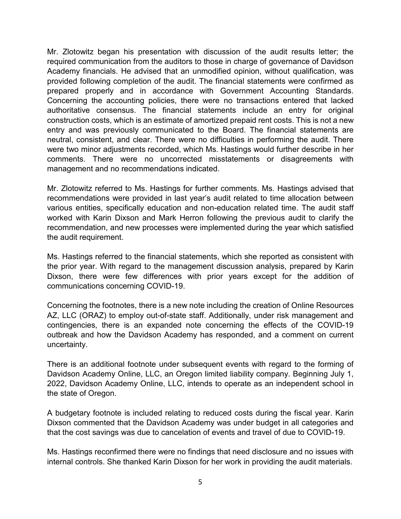Mr. Zlotowitz began his presentation with discussion of the audit results letter; the required communication from the auditors to those in charge of governance of Davidson Academy financials. He advised that an unmodified opinion, without qualification, was provided following completion of the audit. The financial statements were confirmed as prepared properly and in accordance with Government Accounting Standards. Concerning the accounting policies, there were no transactions entered that lacked authoritative consensus. The financial statements include an entry for original construction costs, which is an estimate of amortized prepaid rent costs. This is not a new entry and was previously communicated to the Board. The financial statements are neutral, consistent, and clear. There were no difficulties in performing the audit. There were two minor adjustments recorded, which Ms. Hastings would further describe in her comments. There were no uncorrected misstatements or disagreements with management and no recommendations indicated.

Mr. Zlotowitz referred to Ms. Hastings for further comments. Ms. Hastings advised that recommendations were provided in last year's audit related to time allocation between various entities, specifically education and non-education related time. The audit staff worked with Karin Dixson and Mark Herron following the previous audit to clarify the recommendation, and new processes were implemented during the year which satisfied the audit requirement.

Ms. Hastings referred to the financial statements, which she reported as consistent with the prior year. With regard to the management discussion analysis, prepared by Karin Dixson, there were few differences with prior years except for the addition of communications concerning COVID-19.

Concerning the footnotes, there is a new note including the creation of Online Resources AZ, LLC (ORAZ) to employ out-of-state staff. Additionally, under risk management and contingencies, there is an expanded note concerning the effects of the COVID-19 outbreak and how the Davidson Academy has responded, and a comment on current uncertainty.

There is an additional footnote under subsequent events with regard to the forming of Davidson Academy Online, LLC, an Oregon limited liability company. Beginning July 1, 2022, Davidson Academy Online, LLC, intends to operate as an independent school in the state of Oregon.

A budgetary footnote is included relating to reduced costs during the fiscal year. Karin Dixson commented that the Davidson Academy was under budget in all categories and that the cost savings was due to cancelation of events and travel of due to COVID-19.

Ms. Hastings reconfirmed there were no findings that need disclosure and no issues with internal controls. She thanked Karin Dixson for her work in providing the audit materials.